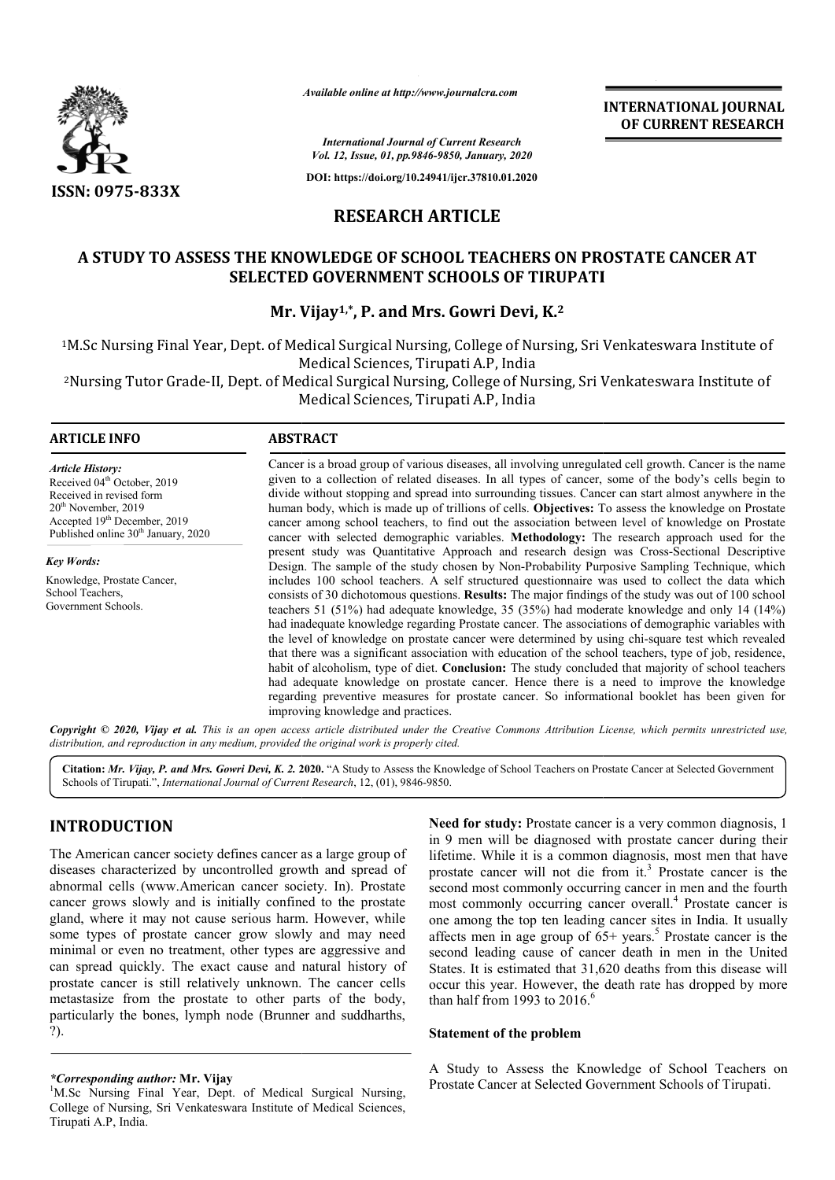

*Available online at http://www.journalcra.com*

**INTERNATIONAL JOURNAL OF CURRENT RESEARCH**

*International Journal of Current Research Vol. 12, Issue, 01, pp.9846-9850, January, 2020*

**DOI: https://doi.org/10.24941/ijcr.37810.01.2020**

# **RESEARCH ARTICLE**

# **A STUDY TO ASSESS THE KNOWLEDGE OF SCHOOL TEACHERS ON PROSTATE CANCER AT OF ON PROSTATE AT SELECTED GOVERNMENT SCHOOLS OF TIRUPATI**

# **Mr. Vijay Vijay1,\*, P. and Mrs. Gowri Devi, K.2**

1M.Sc Nursing Final Year, Dept. of Medical Surgical Nursing, College of Nursing, Sri Venkateswara Institute of M.Sc Tirupati A.P, India Medical Sciences, Tirupati A.P. India M.Sc Nursing Final Year, Dept. of Medical Surgical Nursing, College of Nursing, Sri Venkateswara Institute of'<br>Medical Sciences, Tirupati A.P, India<br>Nursing Tutor Grade-II, Dept. of Medical Surgical Nursing, College of Nur

Medical Sciences, Tirupati A.P, India

#### **ARTICLE INFO ABSTRACT**

*Article History:* Received 04<sup>th</sup> October, 2019 Received in revised form 20th November, 2019 Accepted 19th December, 2019 Published online 30<sup>th</sup> January, 2020

*Key Words:* Knowledge, Prostate Cancer, School Teachers, Government Schools.

Cancer is a broad group of various diseases, all involving unregulated cell growth. Cancer is the name given to a collection of related diseases. In all types of cancer, some of the body's cells begin to divide without stopping and spread into surrounding tissues. Cancer can start almost anywhere in the human body, which is made up of trillions of cells. **Objectives:** To assess the knowledge on Prostate cancer among school teachers, to find out the association between level of knowledge on Prostate cancer with selected demographic variables. Methodology: The research approach used for the Cancer is a broad group of various diseases, all involving unregulated cell growth. Cancer is the name given to a collection of related diseases. In all types of cancer, some of the body's cells begin to divide without sto Design. The sample of the study chosen by Non-Probability Purposive Sampling Technique, which includes 100 school teachers. A self structured questionnaire was used to collect the data which consists of 30 dichotomous questions. **Results:** The major findings of the study was out of 100 school teachers 51 (51%) had adequate knowledge, 35 (35%) had moderate knowledge and only 14 (14%) had inadequate knowledge regarding Prostate cancer. The associations of demographic variables with consists of 30 dichotomous questions. **Results:** The major findings of the study was out of 100 school teachers 51 (51%) had adequate knowledge, 35 (35%) had moderate knowledge and only 14 (14%) had inadequate knowledge re that there was a significant association with education of the school teachers, type of job, residence, habit of alcoholism, type of diet. **Conclusion:** The study concluded that majority of school teachers had adequate knowledge on prostate cancer. Hence there is a need to improve the knowledge regarding preventive measures for prostate cancer. So informational booklet has been given for improving knowledge and practices. that there was a significant association with education of the school teachers, type of job, resider habit of alcoholism, type of diet. **Conclusion:** The study concluded that majority of school teacher had adequate knowled **INTERNATIONAL JOURNAL**<br> **Contract Assess the Assess than 100 Study to Assess the CANCER AT (***Guyanday, 1978* **Studies)<br>** *SHA comency 320* **Study 200 CHICLE DLITE CANCER AT HOLD SOFT TRUPATI<br>
CONTRIBUTE CONTINUES ON PROSTAT** 

**Copyright** © 2020, Vijay et al. This is an open access article distributed under the Creative Commons Attribution License, which permits unrestricted use, *distribution, and reproduction in any medium, provided the original work is properly cited.*

Citation: Mr. Vijay, P. and Mrs. Gowri Devi, K. 2. 2020. "A Study to Assess the Knowledge of School Teachers on Prostate Cancer at Selected Government Schools of Tirupati.", *International Journal of Current Research*, 12, (01), 9846-9850.

# **INTRODUCTION**

The American cancer society defines cancer as a large group of diseases characterized by uncontrolled growth and spread of abnormal cells (www.American cancer society. In). Prostate cancer grows slowly and is initially confined to the prostate gland, where it may not cause serious harm. However, while some types of prostate cancer grow slowly and may need minimal or even no treatment, other types are aggressive and can spread quickly. The exact cause and natural history of prostate cancer is still relatively unknown. The cancer cells metastasize from the prostate to other parts of the body, prostate cancer is still relatively unknown. The cancer cells metastasize from the prostate to other parts of the body, particularly the bones, lymph node (Brunner and suddharths, ?).

Need for study: Prostate cancer is a very common diagnosis, 1 in 9 men will be diagnosed with prostate cancer during their Need for study: Prostate cancer is a very common diagnosis, 1 in 9 men will be diagnosed with prostate cancer during their lifetime. While it is a common diagnosis, most men that have prostate cancer will not die from  $it^3$  Prostate cancer is the second most commonly occurring cancer in men and the fourth second most commonly occurring cancer in men and the fourth most commonly occurring cancer overall.<sup>4</sup> Prostate cancer is one among the top ten leading cancer sites in India. It usually affects men in age group of  $65+$  years.<sup>5</sup> Prostate cancer is the second leading cause of cancer death in men in the United States. It is estimated that 31,620 deaths from this disease will occur this year. However, the death rate has dropped by more than half from 1993 to  $2016<sup>6</sup>$ 

#### **Statement of the problem**

A Study to Assess the Knowledge of School Teachers on Prostate Cancer at Selected Government Schools of Tirupati.

*<sup>\*</sup>Corresponding author:* **Mr. Vijay** <sup>1</sup>

<sup>&</sup>lt;sup>1</sup>M.Sc Nursing Final Year, Dept. of Medical Surgical Nursing, College of Nursing, Sri Venkateswara Institute of Medical Sciences, Tirupati A.P, India.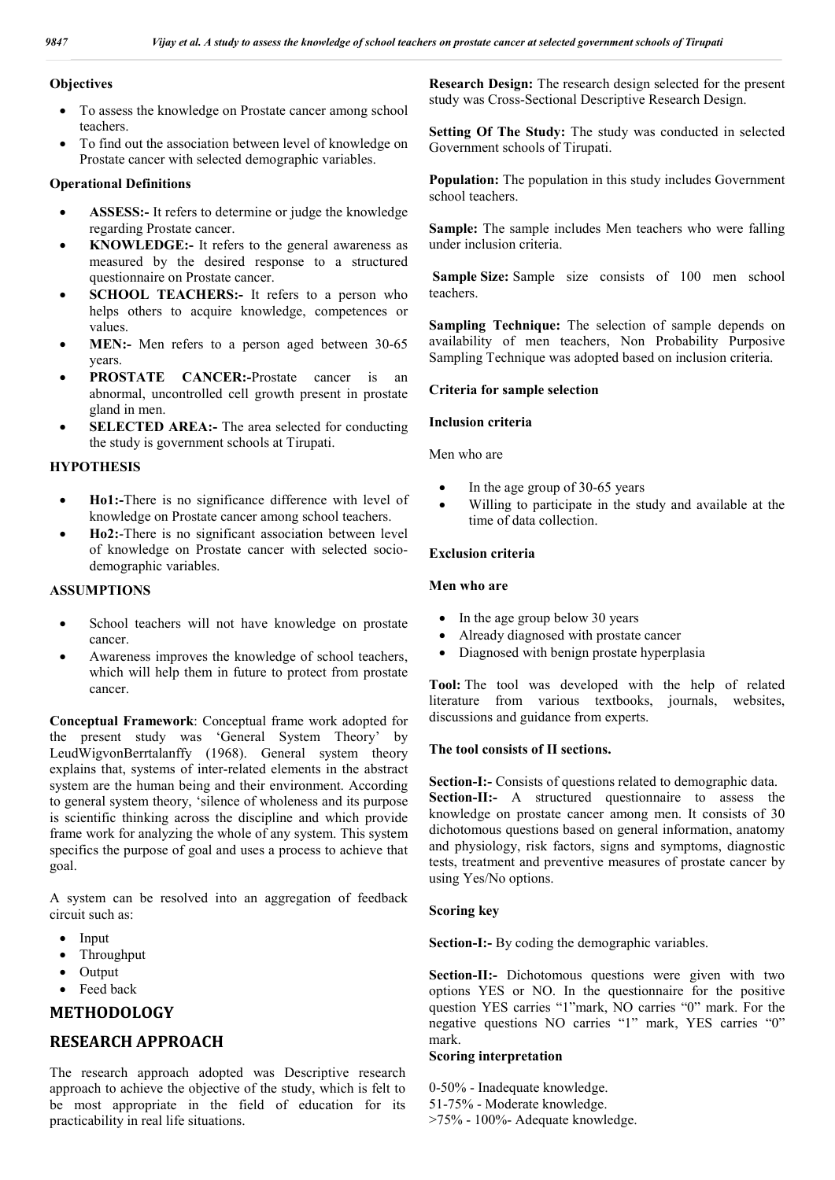## **Objectives**

- To assess the knowledge on Prostate cancer among school teachers.
- To find out the association between level of knowledge on Prostate cancer with selected demographic variables.

## **Operational Definitions**

- **ASSESS:-** It refers to determine or judge the knowledge regarding Prostate cancer.
- **KNOWLEDGE:-** It refers to the general awareness as measured by the desired response to a structured questionnaire on Prostate cancer.
- **SCHOOL TEACHERS:** It refers to a person who helps others to acquire knowledge, competences or values.
- **MEN:-** Men refers to a person aged between 30-65 years.
- **PROSTATE CANCER:-**Prostate cancer is an abnormal, uncontrolled cell growth present in prostate gland in men.
- **SELECTED AREA:-** The area selected for conducting the study is government schools at Tirupati.

## **HYPOTHESIS**

- **Ho1:-**There is no significance difference with level of knowledge on Prostate cancer among school teachers.
- **Ho2:**-There is no significant association between level of knowledge on Prostate cancer with selected sociodemographic variables.

## **ASSUMPTIONS**

- School teachers will not have knowledge on prostate cancer.
- Awareness improves the knowledge of school teachers, which will help them in future to protect from prostate cancer.

**Conceptual Framework**: Conceptual frame work adopted for the present study was 'General System Theory' by LeudWigvonBerrtalanffy (1968). General system theory explains that, systems of inter-related elements in the abstract system are the human being and their environment. According to general system theory, 'silence of wholeness and its purpose is scientific thinking across the discipline and which provide frame work for analyzing the whole of any system. This system specifics the purpose of goal and uses a process to achieve that goal.

A system can be resolved into an aggregation of feedback circuit such as:

- $\bullet$  Input
- Throughput
- Output
- Feed back

# **METHODOLOGY**

# **RESEARCH APPROACH**

The research approach adopted was Descriptive research approach to achieve the objective of the study, which is felt to be most appropriate in the field of education for its practicability in real life situations.

**Research Design:** The research design selected for the present study was Cross-Sectional Descriptive Research Design.

**Setting Of The Study:** The study was conducted in selected Government schools of Tirupati.

**Population:** The population in this study includes Government school teachers.

**Sample:** The sample includes Men teachers who were falling under inclusion criteria.

Sample Size: Sample size consists of 100 men school teachers.

**Sampling Technique:** The selection of sample depends on availability of men teachers, Non Probability Purposive Sampling Technique was adopted based on inclusion criteria.

## **Criteria for sample selection**

## **Inclusion criteria**

Men who are

- In the age group of 30-65 years
- Willing to participate in the study and available at the time of data collection.

## **Exclusion criteria**

#### **Men who are**

- In the age group below 30 years
- Already diagnosed with prostate cancer
- Diagnosed with benign prostate hyperplasia

**Tool:** The tool was developed with the help of related literature from various textbooks, journals, websites, discussions and guidance from experts.

#### **The tool consists of II sections.**

**Section-I:-** Consists of questions related to demographic data. **Section-II:-** A structured questionnaire to assess the knowledge on prostate cancer among men. It consists of 30 dichotomous questions based on general information, anatomy and physiology, risk factors, signs and symptoms, diagnostic tests, treatment and preventive measures of prostate cancer by using Yes/No options.

#### **Scoring key**

**Section-I:-** By coding the demographic variables.

**Section-II:-** Dichotomous questions were given with two options YES or NO. In the questionnaire for the positive question YES carries "1"mark, NO carries "0" mark. For the negative questions NO carries "1" mark, YES carries "0" mark.

#### **Scoring interpretation**

0-50% - Inadequate knowledge. 51-75% - Moderate knowledge. >75% - 100%- Adequate knowledge.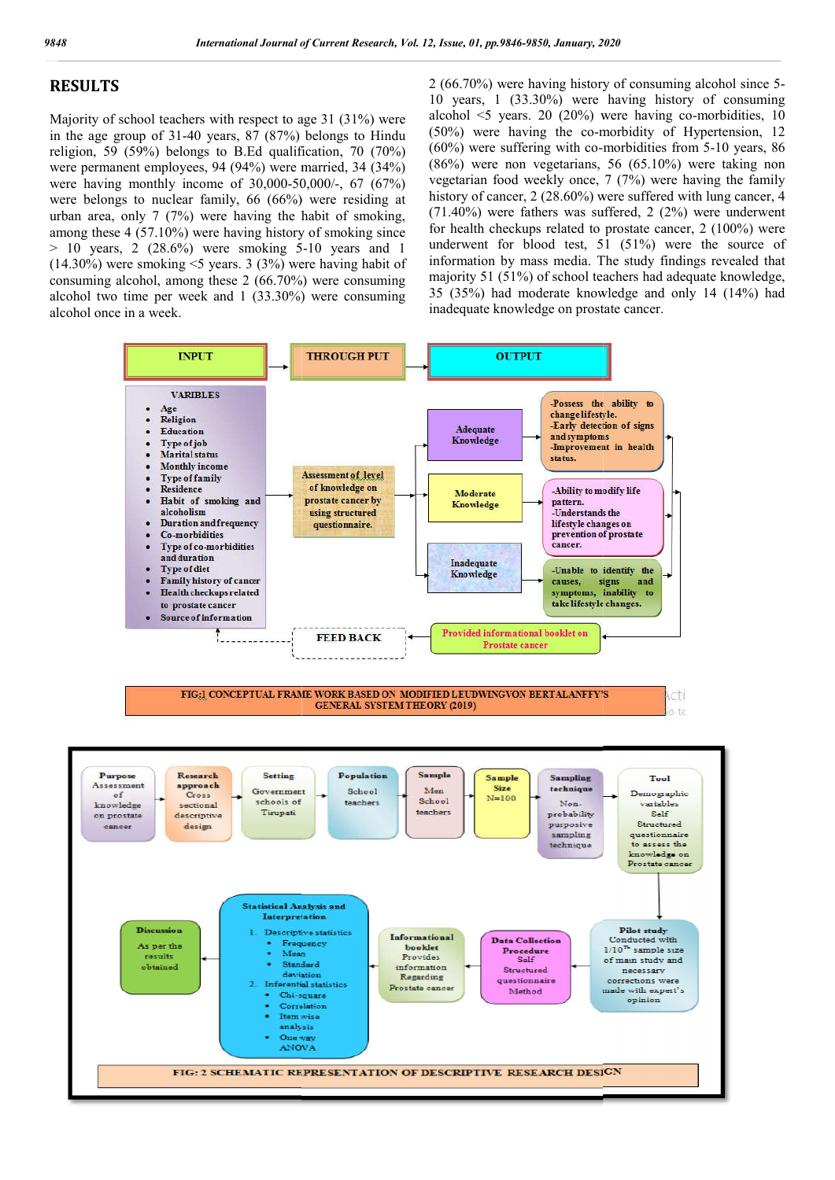# **RESULTS**

Majority of school teachers with respect to age 31 (31%) were in the age group of  $31-40$  years,  $87$   $(87%)$  belongs to Hindu religion, 59 (59%) belongs to B.Ed qualification, 70 (70%) were permanent employees, 94 (94%) were married, 34 (34%) were having monthly income of 30,000-50,000/ 50,000/-, 67 (67%) were belongs to nuclear family, 66 (66%) were residing at urban area, only 7 (7%) were having the habit of smoking, among these 4 (57.10%) were having history of smoking since > 10 years, 2 (28.6%) were smoking 5 5-10 years and 1 (14.30%) were smoking <5 years. 3 (3%) were having habit of consuming alcohol, among these 2 (66.70%) were consuming alcohol two time per week and 1 (33.30%) were consuming alcohol once in a week.

2 (66.70%) were having history of consuming alcohol since 5- $10$  years,  $1$   $(33.30\%)$  were having history of consuming alcohol <5 years. 20 (20%) were having co having co-morbidities, 10 (50%) were having the co-morbidity of Hypertension, 12  $(50\%)$  were having the co-morbidity of Hypertension, 12  $(60\%)$  were suffering with co-morbidities from 5-10 years, 86 (86%) were non vegetarians, 56 (65.10%) were taking non vegetarian food weekly once, 7 (7%) were having the family history of cancer, 2 (28.60%) were suffered with lung cancer, 4 (71.40%) were fathers was suffered, 2 (2%) were underwent for health checkups related to prostate cancer, 2 (100%) were vegetarian food weekly once, 7 (7%) were having the family<br>history of cancer, 2 (28.60%) were suffered with lung cancer, 4<br>(71.40%) were fathers was suffered, 2 (2%) were underwent<br>for health checkups related to prostate information by mass media. The study findings revealed that majority 51 (51%) of school teachers had adequate knowledge, 35 (35%) had moderate knowledge and only 14 (14%) had inadequate knowledge on prostate cancer. by 199.9846-9850, January, 2020<br>
by were having history of consuming alcohol since 5-<br>
i, 1 (33.30%) were having history of consuming<br>  $\leq$  5 years. 20 (20%) were having co-morbidities, 10<br>
vere having the co-morbidity o

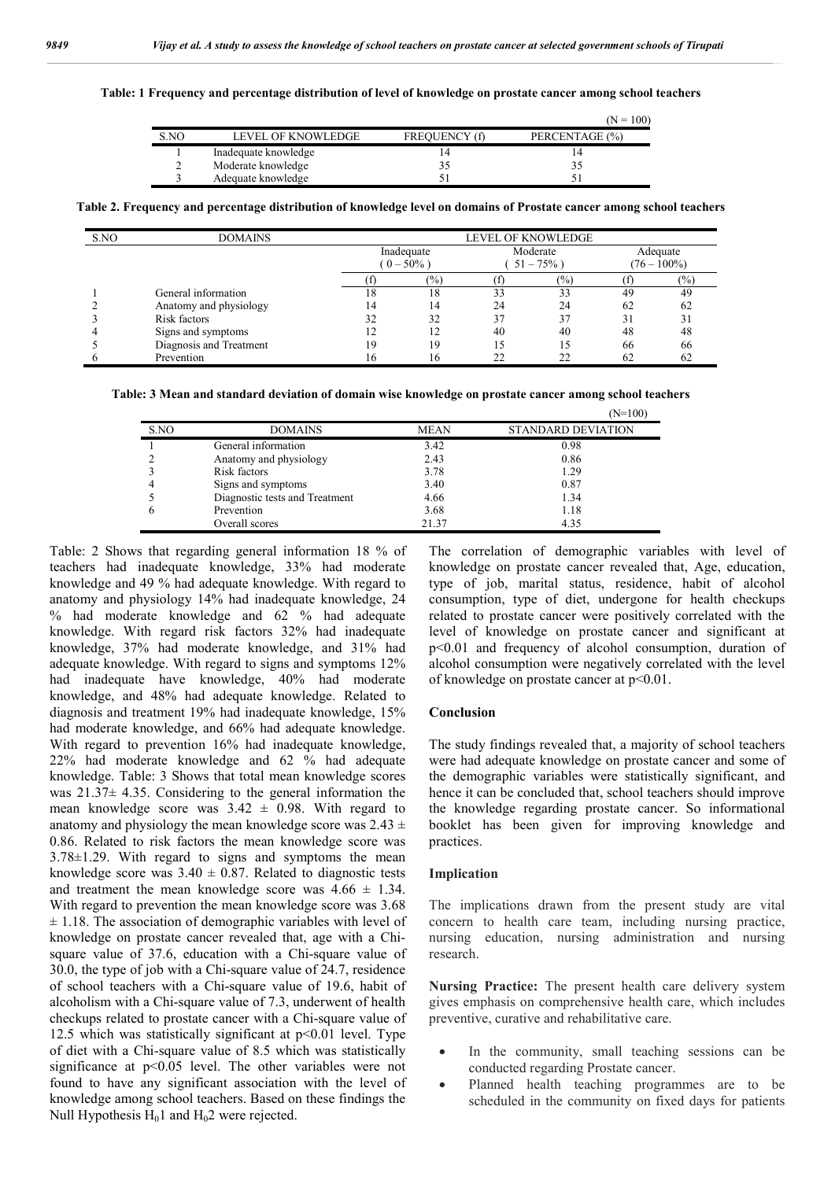|  |  | Table: 1 Frequency and percentage distribution of level of knowledge on prostate cancer among school teachers |  |
|--|--|---------------------------------------------------------------------------------------------------------------|--|
|  |  |                                                                                                               |  |

|      |                      |                      | $(N = 100)$    |
|------|----------------------|----------------------|----------------|
| S.NO | LEVEL OF KNOWLEDGE   | <b>FREOUENCY (f)</b> | PERCENTAGE (%) |
|      | Inadequate knowledge |                      |                |
|      | Moderate knowledge   |                      |                |
|      | Adequate knowledge   |                      |                |

**Table 2. Frequency and percentage distribution of knowledge level on domains of Prostate cancer among school teachers**

| S.NO | <b>DOMAINS</b>          | <b>LEVEL OF KNOWLEDGE</b> |       |                           |     |                            |               |
|------|-------------------------|---------------------------|-------|---------------------------|-----|----------------------------|---------------|
|      |                         | Inadequate<br>$(0-50\%)$  |       | Moderate<br>$51 - 75\%$ ) |     | Adequate<br>$(76 - 100\%)$ |               |
|      |                         |                           | (0/0) |                           | (%) |                            | $\frac{1}{2}$ |
|      | General information     | 18                        | 18    | 33                        | 33  | 49                         | 49            |
|      | Anatomy and physiology  |                           | 14    | 24                        | 24  | 62                         | 62            |
|      | Risk factors            | 32                        | 32    | 37                        | 37  | 31                         | 31            |
|      | Signs and symptoms      |                           |       | 40                        | 40  | 48                         | 48            |
|      | Diagnosis and Treatment | 19                        | 19    | 15                        |     | 66                         | 66            |
|      | Prevention              | 16                        | 16    | つつ                        | 22  | 62                         | 62            |

**Table: 3 Mean and standard deviation of domain wise knowledge on prostate cancer among school teachers**

|      |                                |             | (N=100)                   |
|------|--------------------------------|-------------|---------------------------|
| S.NO | <b>DOMAINS</b>                 | <b>MEAN</b> | <b>STANDARD DEVIATION</b> |
|      | General information            | 3.42        | 0.98                      |
|      | Anatomy and physiology         | 2.43        | 0.86                      |
|      | Risk factors                   | 3.78        | 1.29                      |
|      | Signs and symptoms             | 3.40        | 0.87                      |
|      | Diagnostic tests and Treatment | 4.66        | 1.34                      |
|      | Prevention                     | 3.68        | 1.18                      |
|      | Overall scores                 | 21.37       | 4.35                      |

Table: 2 Shows that regarding general information 18 % of teachers had inadequate knowledge, 33% had moderate knowledge and 49 % had adequate knowledge. With regard to anatomy and physiology 14% had inadequate knowledge, 24 % had moderate knowledge and 62 % had adequate knowledge. With regard risk factors 32% had inadequate knowledge, 37% had moderate knowledge, and 31% had adequate knowledge. With regard to signs and symptoms 12% had inadequate have knowledge, 40% had moderate knowledge, and 48% had adequate knowledge. Related to diagnosis and treatment 19% had inadequate knowledge, 15% had moderate knowledge, and 66% had adequate knowledge. With regard to prevention 16% had inadequate knowledge, 22% had moderate knowledge and 62 % had adequate knowledge. Table: 3 Shows that total mean knowledge scores was 21.37± 4.35. Considering to the general information the mean knowledge score was  $3.42 \pm 0.98$ . With regard to anatomy and physiology the mean knowledge score was  $2.43 \pm$ 0.86. Related to risk factors the mean knowledge score was 3.78±1.29. With regard to signs and symptoms the mean knowledge score was  $3.40 \pm 0.87$ . Related to diagnostic tests and treatment the mean knowledge score was  $4.66 \pm 1.34$ . With regard to prevention the mean knowledge score was 3.68  $\pm$  1.18. The association of demographic variables with level of knowledge on prostate cancer revealed that, age with a Chisquare value of 37.6, education with a Chi-square value of 30.0, the type of job with a Chi-square value of 24.7, residence of school teachers with a Chi-square value of 19.6, habit of alcoholism with a Chi-square value of 7.3, underwent of health checkups related to prostate cancer with a Chi-square value of 12.5 which was statistically significant at  $p$ <0.01 level. Type of diet with a Chi-square value of 8.5 which was statistically significance at p<0.05 level. The other variables were not found to have any significant association with the level of knowledge among school teachers. Based on these findings the Null Hypothesis  $H_01$  and  $H_02$  were rejected.

The correlation of demographic variables with level of knowledge on prostate cancer revealed that, Age, education, type of job, marital status, residence, habit of alcohol consumption, type of diet, undergone for health checkups related to prostate cancer were positively correlated with the level of knowledge on prostate cancer and significant at p<0.01 and frequency of alcohol consumption, duration of alcohol consumption were negatively correlated with the level of knowledge on prostate cancer at p<0.01.

#### **Conclusion**

The study findings revealed that, a majority of school teachers were had adequate knowledge on prostate cancer and some of the demographic variables were statistically significant, and hence it can be concluded that, school teachers should improve the knowledge regarding prostate cancer. So informational booklet has been given for improving knowledge and practices.

#### **Implication**

The implications drawn from the present study are vital concern to health care team, including nursing practice, nursing education, nursing administration and nursing research.

**Nursing Practice:** The present health care delivery system gives emphasis on comprehensive health care, which includes preventive, curative and rehabilitative care.

- In the community, small teaching sessions can be conducted regarding Prostate cancer.
- Planned health teaching programmes are to be scheduled in the community on fixed days for patients